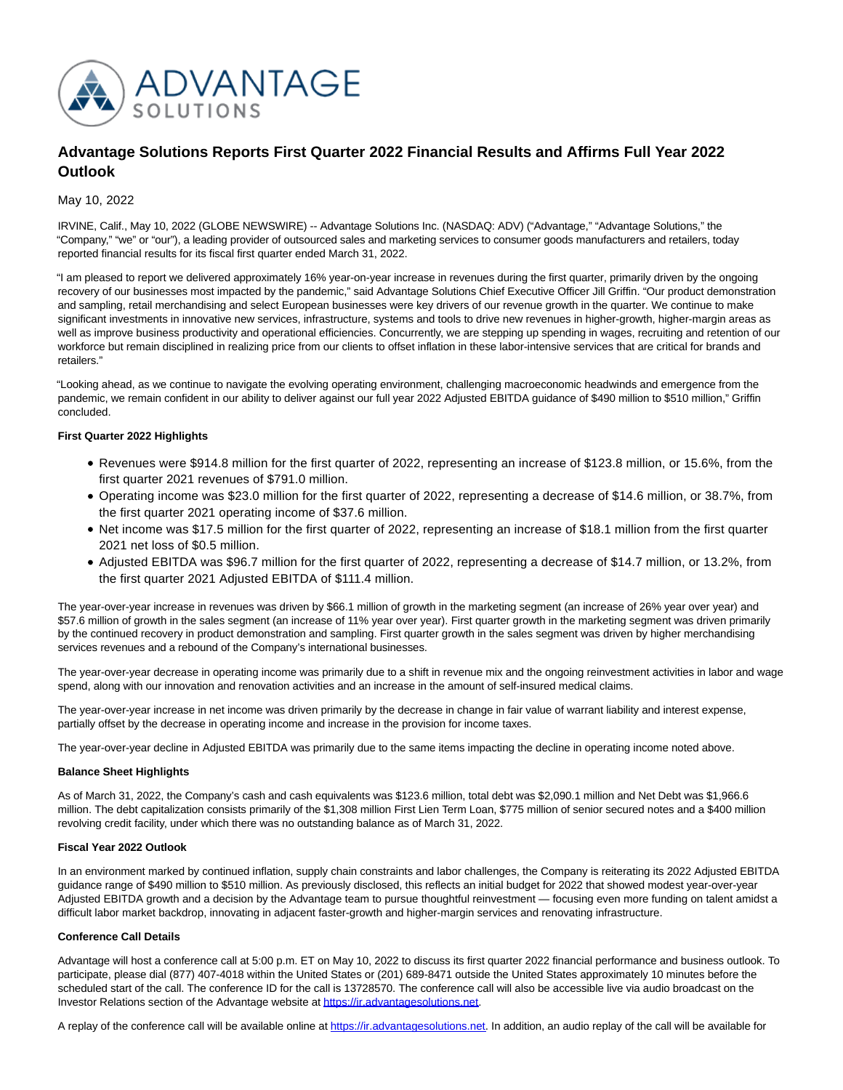

# **Advantage Solutions Reports First Quarter 2022 Financial Results and Affirms Full Year 2022 Outlook**

May 10, 2022

IRVINE, Calif., May 10, 2022 (GLOBE NEWSWIRE) -- Advantage Solutions Inc. (NASDAQ: ADV) ("Advantage," "Advantage Solutions," the "Company," "we" or "our"), a leading provider of outsourced sales and marketing services to consumer goods manufacturers and retailers, today reported financial results for its fiscal first quarter ended March 31, 2022.

"I am pleased to report we delivered approximately 16% year-on-year increase in revenues during the first quarter, primarily driven by the ongoing recovery of our businesses most impacted by the pandemic," said Advantage Solutions Chief Executive Officer Jill Griffin. "Our product demonstration and sampling, retail merchandising and select European businesses were key drivers of our revenue growth in the quarter. We continue to make significant investments in innovative new services, infrastructure, systems and tools to drive new revenues in higher-growth, higher-margin areas as well as improve business productivity and operational efficiencies. Concurrently, we are stepping up spending in wages, recruiting and retention of our workforce but remain disciplined in realizing price from our clients to offset inflation in these labor-intensive services that are critical for brands and retailers."

"Looking ahead, as we continue to navigate the evolving operating environment, challenging macroeconomic headwinds and emergence from the pandemic, we remain confident in our ability to deliver against our full year 2022 Adjusted EBITDA guidance of \$490 million to \$510 million," Griffin concluded.

## **First Quarter 2022 Highlights**

- Revenues were \$914.8 million for the first quarter of 2022, representing an increase of \$123.8 million, or 15.6%, from the first quarter 2021 revenues of \$791.0 million.
- Operating income was \$23.0 million for the first quarter of 2022, representing a decrease of \$14.6 million, or 38.7%, from the first quarter 2021 operating income of \$37.6 million.
- Net income was \$17.5 million for the first quarter of 2022, representing an increase of \$18.1 million from the first quarter 2021 net loss of \$0.5 million.
- Adjusted EBITDA was \$96.7 million for the first quarter of 2022, representing a decrease of \$14.7 million, or 13.2%, from the first quarter 2021 Adjusted EBITDA of \$111.4 million.

The year-over-year increase in revenues was driven by \$66.1 million of growth in the marketing segment (an increase of 26% year over year) and \$57.6 million of growth in the sales segment (an increase of 11% year over year). First quarter growth in the marketing segment was driven primarily by the continued recovery in product demonstration and sampling. First quarter growth in the sales segment was driven by higher merchandising services revenues and a rebound of the Company's international businesses.

The year-over-year decrease in operating income was primarily due to a shift in revenue mix and the ongoing reinvestment activities in labor and wage spend, along with our innovation and renovation activities and an increase in the amount of self-insured medical claims.

The year-over-year increase in net income was driven primarily by the decrease in change in fair value of warrant liability and interest expense, partially offset by the decrease in operating income and increase in the provision for income taxes.

The year-over-year decline in Adjusted EBITDA was primarily due to the same items impacting the decline in operating income noted above.

## **Balance Sheet Highlights**

As of March 31, 2022, the Company's cash and cash equivalents was \$123.6 million, total debt was \$2,090.1 million and Net Debt was \$1,966.6 million. The debt capitalization consists primarily of the \$1,308 million First Lien Term Loan, \$775 million of senior secured notes and a \$400 million revolving credit facility, under which there was no outstanding balance as of March 31, 2022.

### **Fiscal Year 2022 Outlook**

In an environment marked by continued inflation, supply chain constraints and labor challenges, the Company is reiterating its 2022 Adjusted EBITDA guidance range of \$490 million to \$510 million. As previously disclosed, this reflects an initial budget for 2022 that showed modest year-over-year Adjusted EBITDA growth and a decision by the Advantage team to pursue thoughtful reinvestment — focusing even more funding on talent amidst a difficult labor market backdrop, innovating in adjacent faster-growth and higher-margin services and renovating infrastructure.

## **Conference Call Details**

Advantage will host a conference call at 5:00 p.m. ET on May 10, 2022 to discuss its first quarter 2022 financial performance and business outlook. To participate, please dial (877) 407-4018 within the United States or (201) 689-8471 outside the United States approximately 10 minutes before the scheduled start of the call. The conference ID for the call is 13728570. The conference call will also be accessible live via audio broadcast on the Investor Relations section of the Advantage website a[t https://ir.advantagesolutions.net.](https://www.globenewswire.com/Tracker?data=MQZI650fks1GKRFzO4CuTS0ObHspTwPKfgPL91HElB-HSU9oyV-_Jl0EBRM7gw37qWeZH6ZtINgub7CE4DeFi_mpC58JyJZBdl27YRIT9QKQMWeT9cfwje9SzmorS0Ck)

A replay of the conference call will be available online a[t https://ir.advantagesolutions.net.](https://www.globenewswire.com/Tracker?data=MQZI650fks1GKRFzO4CuTS0ObHspTwPKfgPL91HElB_03_SERePTkvSafOHha3IoCWQ0KRu3g_HbvLmSQjZ8rX4kqTxMQPqnGDi5cPmRR_It8YMveee3GZl--lisI69b) In addition, an audio replay of the call will be available for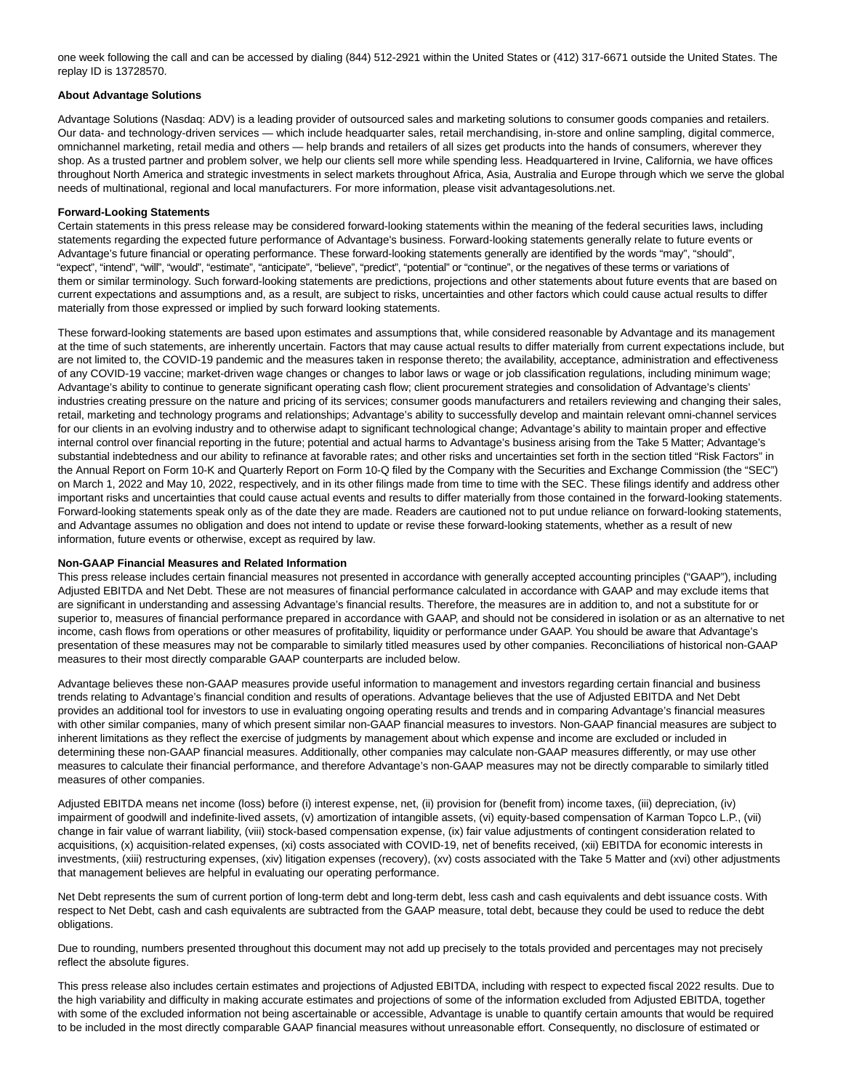one week following the call and can be accessed by dialing (844) 512-2921 within the United States or (412) 317-6671 outside the United States. The replay ID is 13728570.

### **About Advantage Solutions**

Advantage Solutions (Nasdaq: ADV) is a leading provider of outsourced sales and marketing solutions to consumer goods companies and retailers. Our data- and technology-driven services — which include headquarter sales, retail merchandising, in-store and online sampling, digital commerce, omnichannel marketing, retail media and others — help brands and retailers of all sizes get products into the hands of consumers, wherever they shop. As a trusted partner and problem solver, we help our clients sell more while spending less. Headquartered in Irvine, California, we have offices throughout North America and strategic investments in select markets throughout Africa, Asia, Australia and Europe through which we serve the global needs of multinational, regional and local manufacturers. For more information, please visit advantagesolutions.net.

#### **Forward-Looking Statements**

Certain statements in this press release may be considered forward-looking statements within the meaning of the federal securities laws, including statements regarding the expected future performance of Advantage's business. Forward-looking statements generally relate to future events or Advantage's future financial or operating performance. These forward-looking statements generally are identified by the words "may", "should", "expect", "intend", "will", "would", "estimate", "anticipate", "believe", "predict", "potential" or "continue", or the negatives of these terms or variations of them or similar terminology. Such forward-looking statements are predictions, projections and other statements about future events that are based on current expectations and assumptions and, as a result, are subject to risks, uncertainties and other factors which could cause actual results to differ materially from those expressed or implied by such forward looking statements.

These forward-looking statements are based upon estimates and assumptions that, while considered reasonable by Advantage and its management at the time of such statements, are inherently uncertain. Factors that may cause actual results to differ materially from current expectations include, but are not limited to, the COVID-19 pandemic and the measures taken in response thereto; the availability, acceptance, administration and effectiveness of any COVID-19 vaccine; market-driven wage changes or changes to labor laws or wage or job classification regulations, including minimum wage; Advantage's ability to continue to generate significant operating cash flow; client procurement strategies and consolidation of Advantage's clients' industries creating pressure on the nature and pricing of its services; consumer goods manufacturers and retailers reviewing and changing their sales, retail, marketing and technology programs and relationships; Advantage's ability to successfully develop and maintain relevant omni-channel services for our clients in an evolving industry and to otherwise adapt to significant technological change; Advantage's ability to maintain proper and effective internal control over financial reporting in the future; potential and actual harms to Advantage's business arising from the Take 5 Matter; Advantage's substantial indebtedness and our ability to refinance at favorable rates; and other risks and uncertainties set forth in the section titled "Risk Factors" in the Annual Report on Form 10-K and Quarterly Report on Form 10-Q filed by the Company with the Securities and Exchange Commission (the "SEC") on March 1, 2022 and May 10, 2022, respectively, and in its other filings made from time to time with the SEC. These filings identify and address other important risks and uncertainties that could cause actual events and results to differ materially from those contained in the forward-looking statements. Forward-looking statements speak only as of the date they are made. Readers are cautioned not to put undue reliance on forward-looking statements, and Advantage assumes no obligation and does not intend to update or revise these forward-looking statements, whether as a result of new information, future events or otherwise, except as required by law.

#### **Non-GAAP Financial Measures and Related Information**

This press release includes certain financial measures not presented in accordance with generally accepted accounting principles ("GAAP"), including Adjusted EBITDA and Net Debt. These are not measures of financial performance calculated in accordance with GAAP and may exclude items that are significant in understanding and assessing Advantage's financial results. Therefore, the measures are in addition to, and not a substitute for or superior to, measures of financial performance prepared in accordance with GAAP, and should not be considered in isolation or as an alternative to net income, cash flows from operations or other measures of profitability, liquidity or performance under GAAP. You should be aware that Advantage's presentation of these measures may not be comparable to similarly titled measures used by other companies. Reconciliations of historical non-GAAP measures to their most directly comparable GAAP counterparts are included below.

Advantage believes these non-GAAP measures provide useful information to management and investors regarding certain financial and business trends relating to Advantage's financial condition and results of operations. Advantage believes that the use of Adjusted EBITDA and Net Debt provides an additional tool for investors to use in evaluating ongoing operating results and trends and in comparing Advantage's financial measures with other similar companies, many of which present similar non-GAAP financial measures to investors. Non-GAAP financial measures are subject to inherent limitations as they reflect the exercise of judgments by management about which expense and income are excluded or included in determining these non-GAAP financial measures. Additionally, other companies may calculate non-GAAP measures differently, or may use other measures to calculate their financial performance, and therefore Advantage's non-GAAP measures may not be directly comparable to similarly titled measures of other companies.

Adjusted EBITDA means net income (loss) before (i) interest expense, net, (ii) provision for (benefit from) income taxes, (iii) depreciation, (iv) impairment of goodwill and indefinite-lived assets, (v) amortization of intangible assets, (vi) equity-based compensation of Karman Topco L.P., (vii) change in fair value of warrant liability, (viii) stock-based compensation expense, (ix) fair value adjustments of contingent consideration related to acquisitions, (x) acquisition-related expenses, (xi) costs associated with COVID-19, net of benefits received, (xii) EBITDA for economic interests in investments, (xiii) restructuring expenses, (xiv) litigation expenses (recovery), (xv) costs associated with the Take 5 Matter and (xvi) other adjustments that management believes are helpful in evaluating our operating performance.

Net Debt represents the sum of current portion of long-term debt and long-term debt, less cash and cash equivalents and debt issuance costs. With respect to Net Debt, cash and cash equivalents are subtracted from the GAAP measure, total debt, because they could be used to reduce the debt obligations.

Due to rounding, numbers presented throughout this document may not add up precisely to the totals provided and percentages may not precisely reflect the absolute figures.

This press release also includes certain estimates and projections of Adjusted EBITDA, including with respect to expected fiscal 2022 results. Due to the high variability and difficulty in making accurate estimates and projections of some of the information excluded from Adjusted EBITDA, together with some of the excluded information not being ascertainable or accessible, Advantage is unable to quantify certain amounts that would be required to be included in the most directly comparable GAAP financial measures without unreasonable effort. Consequently, no disclosure of estimated or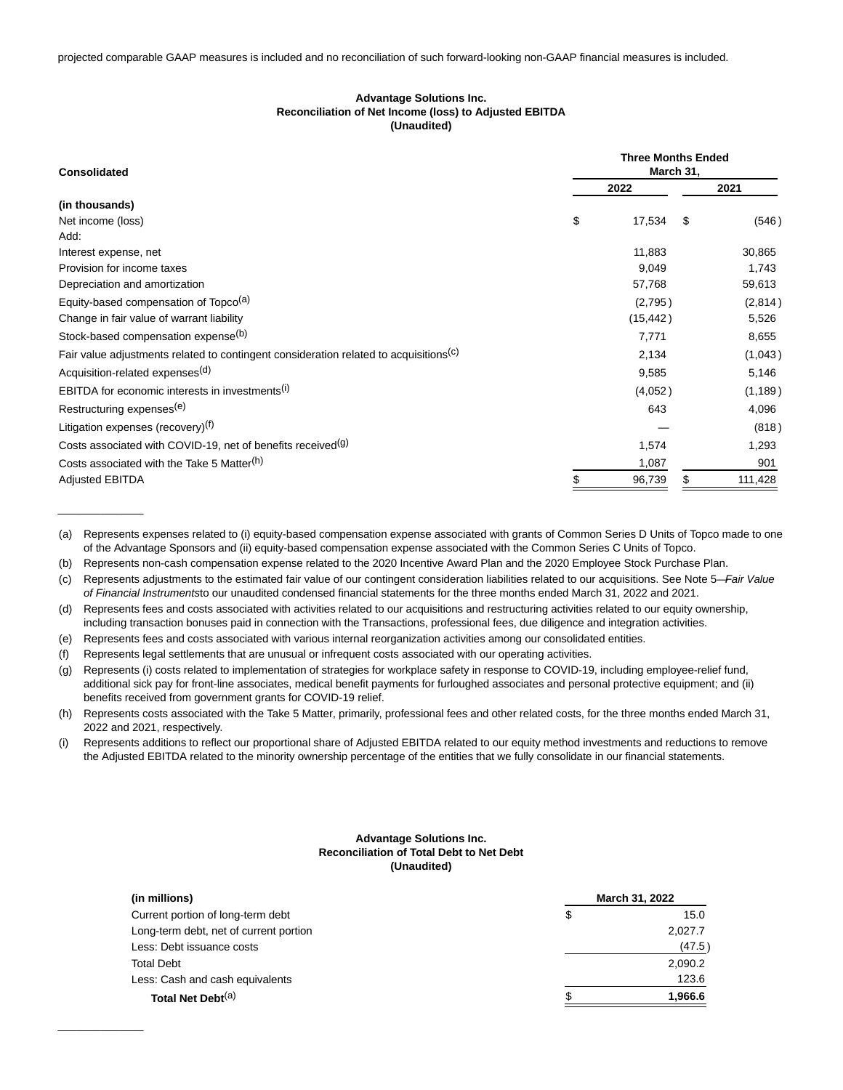## **Advantage Solutions Inc. Reconciliation of Net Income (loss) to Adjusted EBITDA (Unaudited)**

| <b>Consolidated</b>                                                                               | <b>Three Months Ended</b><br>March 31, |           |      |          |
|---------------------------------------------------------------------------------------------------|----------------------------------------|-----------|------|----------|
|                                                                                                   |                                        | 2022      |      | 2021     |
| (in thousands)                                                                                    |                                        |           |      |          |
| Net income (loss)                                                                                 | \$                                     | 17,534    | - \$ | (546)    |
| Add:                                                                                              |                                        |           |      |          |
| Interest expense, net                                                                             |                                        | 11,883    |      | 30,865   |
| Provision for income taxes                                                                        |                                        | 9,049     |      | 1,743    |
| Depreciation and amortization                                                                     |                                        | 57,768    |      | 59,613   |
| Equity-based compensation of Topco <sup>(a)</sup>                                                 |                                        | (2,795)   |      | (2,814)  |
| Change in fair value of warrant liability                                                         |                                        | (15, 442) |      | 5,526    |
| Stock-based compensation expense(b)                                                               |                                        | 7,771     |      | 8,655    |
| Fair value adjustments related to contingent consideration related to acquisitions <sup>(c)</sup> |                                        | 2,134     |      | (1,043)  |
| Acquisition-related expenses <sup>(d)</sup>                                                       |                                        | 9,585     |      | 5,146    |
| EBITDA for economic interests in investments <sup>(i)</sup>                                       |                                        | (4,052)   |      | (1, 189) |
| Restructuring expenses <sup>(e)</sup>                                                             |                                        | 643       |      | 4,096    |
| Litigation expenses (recovery) <sup>(f)</sup>                                                     |                                        |           |      | (818)    |
| Costs associated with COVID-19, net of benefits received <sup>(g)</sup>                           |                                        | 1,574     |      | 1,293    |
| Costs associated with the Take 5 Matter <sup>(h)</sup>                                            |                                        | 1,087     |      | 901      |
| <b>Adjusted EBITDA</b>                                                                            |                                        | 96,739    |      | 111,428  |

<sup>(</sup>a) Represents expenses related to (i) equity-based compensation expense associated with grants of Common Series D Units of Topco made to one of the Advantage Sponsors and (ii) equity-based compensation expense associated with the Common Series C Units of Topco.

- (b) Represents non-cash compensation expense related to the 2020 Incentive Award Plan and the 2020 Employee Stock Purchase Plan.
- (c) Represents adjustments to the estimated fair value of our contingent consideration liabilities related to our acquisitions. See Note 5-Fair Value of Financial Instrumentsto our unaudited condensed financial statements for the three months ended March 31, 2022 and 2021.
- (d) Represents fees and costs associated with activities related to our acquisitions and restructuring activities related to our equity ownership, including transaction bonuses paid in connection with the Transactions, professional fees, due diligence and integration activities.
- (e) Represents fees and costs associated with various internal reorganization activities among our consolidated entities.
- (f) Represents legal settlements that are unusual or infrequent costs associated with our operating activities.

\_\_\_\_\_\_\_\_\_\_\_\_\_\_

 $\overline{\phantom{a}}$ 

- (g) Represents (i) costs related to implementation of strategies for workplace safety in response to COVID-19, including employee-relief fund, additional sick pay for front-line associates, medical benefit payments for furloughed associates and personal protective equipment; and (ii) benefits received from government grants for COVID-19 relief.
- (h) Represents costs associated with the Take 5 Matter, primarily, professional fees and other related costs, for the three months ended March 31, 2022 and 2021, respectively.
- (i) Represents additions to reflect our proportional share of Adjusted EBITDA related to our equity method investments and reductions to remove the Adjusted EBITDA related to the minority ownership percentage of the entities that we fully consolidate in our financial statements.

### **Advantage Solutions Inc. Reconciliation of Total Debt to Net Debt (Unaudited)**

| (in millions)                          |    | March 31, 2022 |  |
|----------------------------------------|----|----------------|--|
| Current portion of long-term debt      | \$ | 15.0           |  |
| Long-term debt, net of current portion |    | 2,027.7        |  |
| Less: Debt issuance costs              |    | (47.5)         |  |
| <b>Total Debt</b>                      |    | 2,090.2        |  |
| Less: Cash and cash equivalents        |    | 123.6          |  |
| Total Net Debt <sup>(a)</sup>          | S  | 1,966.6        |  |